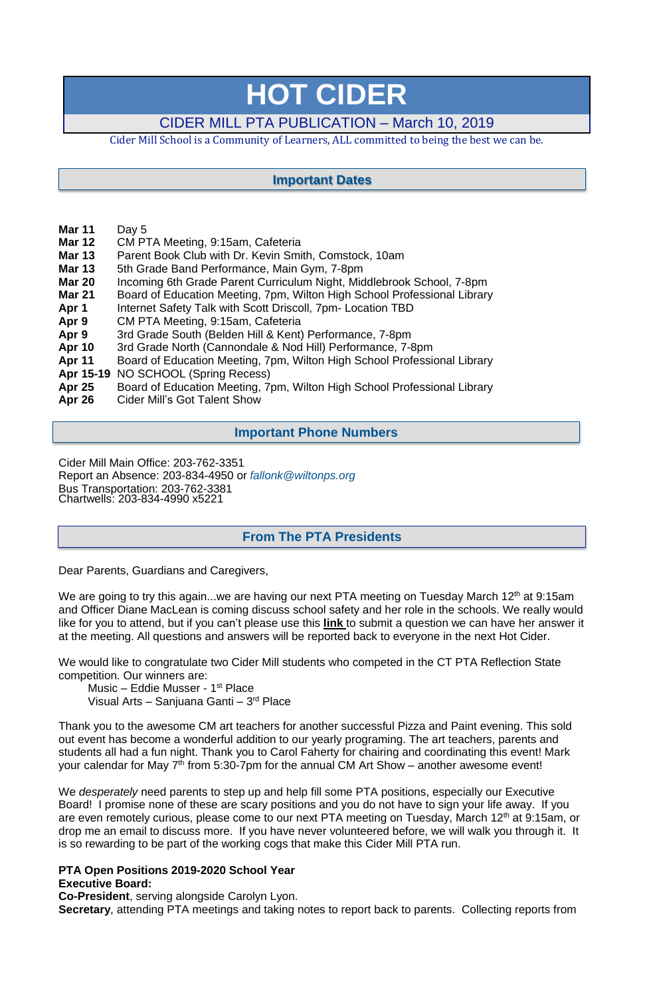# **HOT CIDER**

# CIDER MILL PTA PUBLICATION – March 10, 2019

Cider Mill School is a Community of Learners, ALL committed to being the best we can be.

- **Mar 11** Day 5
- **Mar 12** CM PTA Meeting, 9:15am, Cafeteria
- **Mar 13** Parent Book Club with Dr. Kevin Smith, Comstock, 10am
- **Mar 13** 5th Grade Band Performance, Main Gym, 7-8pm
- **Mar 20** Incoming 6th Grade Parent Curriculum Night, Middlebrook School, 7-8pm
- **Mar 21** Board of Education Meeting, 7pm, Wilton High School Professional Library
- **Apr 1** Internet Safety Talk with Scott Driscoll, 7pm- Location TBD
- **Apr 9** CM PTA Meeting, 9:15am, Cafeteria
- **Apr 9** 3rd Grade South (Belden Hill & Kent) Performance, 7-8pm
- **Apr 10** 3rd Grade North (Cannondale & Nod Hill) Performance, 7-8pm
- **Apr 11** Board of Education Meeting, 7pm, Wilton High School Professional Library
- **Apr 15-19** NO SCHOOL (Spring Recess)
- **Apr 25** Board of Education Meeting, 7pm, Wilton High School Professional Library
- **Apr 26** Cider Mill's Got Talent Show

We are going to try this again...we are having our next PTA meeting on Tuesday March 12<sup>th</sup> at 9:15am and Officer Diane MacLean is coming discuss school safety and her role in the schools. We really would like for you to attend, but if you can't please use this **[link](https://docs.google.com/forms/d/e/1FAIpQLSfvzwZj4cnS0yw-OaXc2pB2sMdX1_IPTFsgn7ISQx8SH9F-mQ/viewform?vc=0&c=0&w=1&fbclid=IwAR3vn1IWcC1lrU-7WVTaIozhszAjR0S809eEFnxDnH2JMHNlUwdsEke3BdM)** to submit a question we can have her answer it at the meeting. All questions and answers will be reported back to everyone in the next Hot Cider.

Thank you to the awesome CM art teachers for another successful Pizza and Paint evening. This sold out event has become a wonderful addition to our yearly programing. The art teachers, parents and students all had a fun night. Thank you to Carol Faherty for chairing and coordinating this event! Mark your calendar for May 7<sup>th</sup> from 5:30-7pm for the annual CM Art Show – another awesome event!

Cider Mill Main Office: 203-762-3351 Report an Absence: 203-834-4950 or *[fallonk@wiltonps.org](mailto:fallonk@wiltonps.org)* Bus Transportation: 203-762-3381 Chartwells: 203-834-4990 x5221

Dear Parents, Guardians and Caregivers,

We would like to congratulate two Cider Mill students who competed in the CT PTA Reflection State competition. Our winners are:

Music – Eddie Musser - 1st Place Visual Arts – Sanjuana Ganti – 3<sup>rd</sup> Place

We *desperately* need parents to step up and help fill some PTA positions, especially our Executive Board! I promise none of these are scary positions and you do not have to sign your life away. If you are even remotely curious, please come to our next PTA meeting on Tuesday, March 12<sup>th</sup> at 9:15am, or drop me an email to discuss more. If you have never volunteered before, we will walk you through it. It is so rewarding to be part of the working cogs that make this Cider Mill PTA run.

# **PTA Open Positions 2019-2020 School Year**

#### **Executive Board:**

**Co-President**, serving alongside Carolyn Lyon.

**Secretary**, attending PTA meetings and taking notes to report back to parents. Collecting reports from

# **From The PTA Presidents**

# **Important Dates**

# **Important Phone Numbers**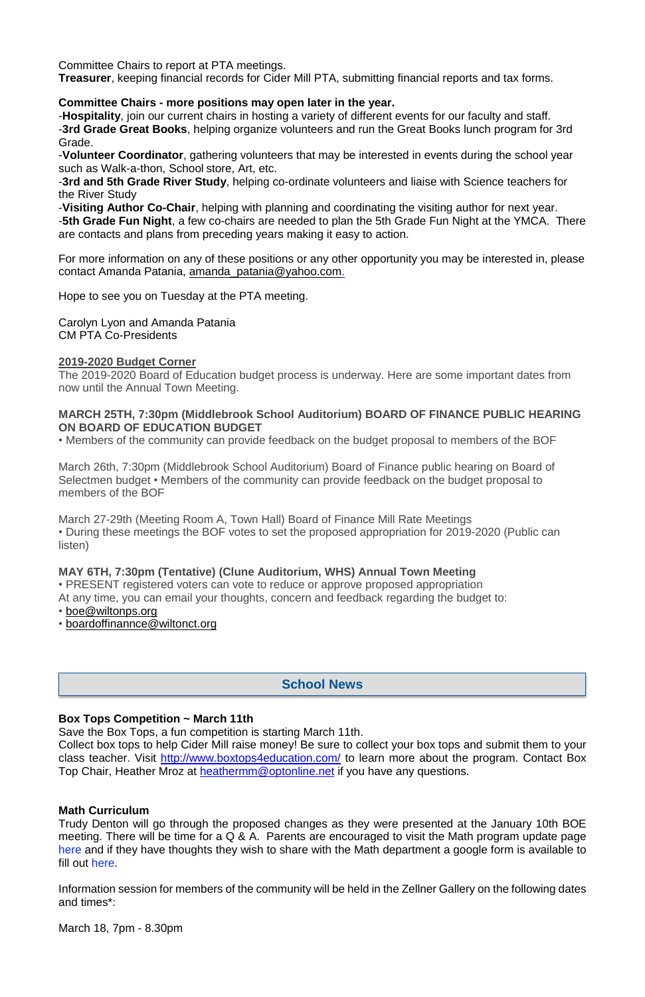Committee Chairs to report at PTA meetings.

**Treasurer**, keeping financial records for Cider Mill PTA, submitting financial reports and tax forms.

# **Committee Chairs - more positions may open later in the year.**

-**Hospitality**, join our current chairs in hosting a variety of different events for our faculty and staff. -**3rd Grade Great Books**, helping organize volunteers and run the Great Books lunch program for 3rd Grade.

-**Volunteer Coordinator**, gathering volunteers that may be interested in events during the school year such as Walk-a-thon, School store, Art, etc.

-**3rd and 5th Grade River Study**, helping co-ordinate volunteers and liaise with Science teachers for the River Study

-**Visiting Author Co-Chair**, helping with planning and coordinating the visiting author for next year. -**5th Grade Fun Night**, a few co-chairs are needed to plan the 5th Grade Fun Night at the YMCA. There are contacts and plans from preceding years making it easy to action.

For more information on any of these positions or any other opportunity you may be interested in, please contact Amanda Patania, [amanda\\_patania@yahoo.com.](mailto:amanda_patania@yahoo.com)

- [boe@wiltonps.org](mailto:boe@wiltonps.org)
- [boardoffinannce@wiltonct.org](mailto:boardoffinannce@wiltonct.org)

Hope to see you on Tuesday at the PTA meeting.

Collect box tops to help Cider Mill raise money! Be sure to collect your box tops and submit them to your class teacher. Visit <http://www.boxtops4education.com/> to learn more about the program. Contact Box Top Chair, Heather Mroz at **[heathermm@optonline.net](mailto:heathermm@optonline.net)** if you have any questions.

Carolyn Lyon and Amanda Patania CM PTA Co-Presidents

### **2019-2020 Budget Corner**

The 2019-2020 Board of Education budget process is underway. Here are some important dates from now until the Annual Town Meeting.

### **MARCH 25TH, 7:30pm (Middlebrook School Auditorium) BOARD OF FINANCE PUBLIC HEARING ON BOARD OF EDUCATION BUDGET**

• Members of the community can provide feedback on the budget proposal to members of the BOF

March 26th, 7:30pm (Middlebrook School Auditorium) Board of Finance public hearing on Board of Selectmen budget • Members of the community can provide feedback on the budget proposal to members of the BOF

March 27-29th (Meeting Room A, Town Hall) Board of Finance Mill Rate Meetings • During these meetings the BOF votes to set the proposed appropriation for 2019-2020 (Public can listen)

# **MAY 6TH, 7:30pm (Tentative) (Clune Auditorium, WHS) Annual Town Meeting**

• PRESENT registered voters can vote to reduce or approve proposed appropriation At any time, you can email your thoughts, concern and feedback regarding the budget to:

#### **Box Tops Competition ~ March 11th**

Save the Box Tops, a fun competition is starting March 11th.

#### **Math Curriculum**

Trudy Denton will go through the proposed changes as they were presented at the January 10th BOE meeting. There will be time for a Q & A. Parents are encouraged to visit the Math program update page [here](https://www.wiltonps.org/departments/curriculum-and-instruction/mathematics/wps-math-program-update) and if they have thoughts they wish to share with the Math department a google form is available to fill out [here.](https://docs.google.com/forms/d/e/1FAIpQLScfBehVI4Tn3ADchjUsShLUf7d9K6lP3D2XJMc8pbrM1rLz4w/viewform)

Information session for members of the community will be held in the Zellner Gallery on the following dates and times\*:

March 18, 7pm - 8.30pm

# **School News**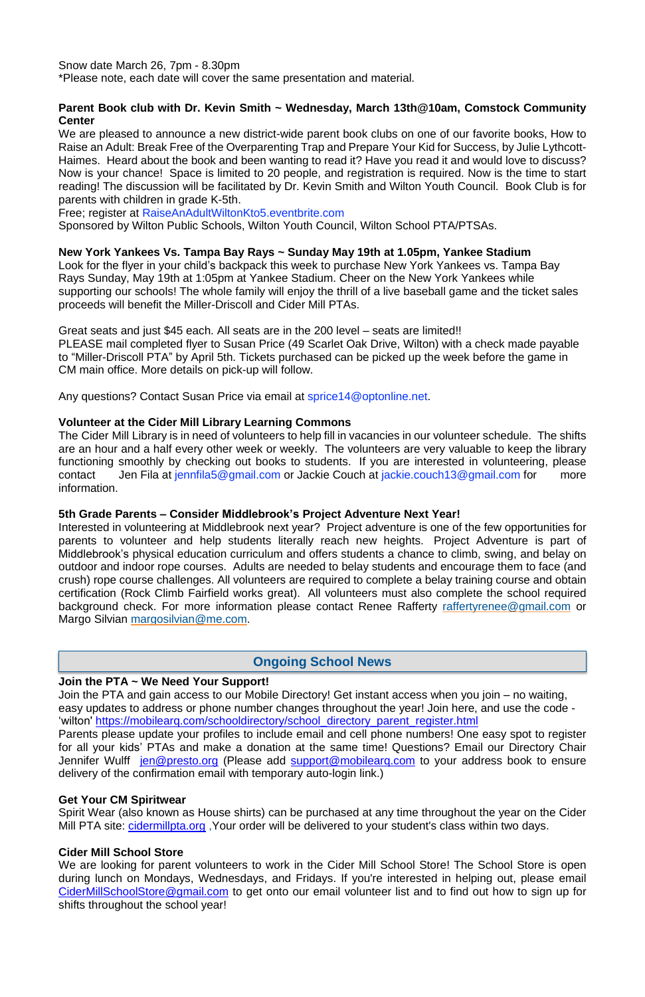Snow date March 26, 7pm - 8.30pm

\*Please note, each date will cover the same presentation and material.

#### **Parent Book club with Dr. Kevin Smith ~ Wednesday, March 13th@10am, Comstock Community Center**

We are pleased to announce a new district-wide parent book clubs on one of our favorite books, How to Raise an Adult: Break Free of the Overparenting Trap and Prepare Your Kid for Success, by Julie Lythcott-Haimes. Heard about the book and been wanting to read it? Have you read it and would love to discuss? Now is your chance! Space is limited to 20 people, and registration is required. Now is the time to start reading! The discussion will be facilitated by Dr. Kevin Smith and Wilton Youth Council. Book Club is for parents with children in grade K-5th.

Free; register at [RaiseAnAdultWiltonKto5.eventbrite.com](http://raiseanadultwiltonkto5.eventbrite.com/) 

Sponsored by Wilton Public Schools, Wilton Youth Council, Wilton School PTA/PTSAs.

### **New York Yankees Vs. Tampa Bay Rays ~ Sunday May 19th at 1.05pm, Yankee Stadium**

Interested in volunteering at Middlebrook next year? Project adventure is one of the few opportunities for parents to volunteer and help students literally reach new heights. Project Adventure is part of Middlebrook's physical education curriculum and offers students a chance to climb, swing, and belay on outdoor and indoor rope courses. Adults are needed to belay students and encourage them to face (and crush) rope course challenges. All volunteers are required to complete a belay training course and obtain certification (Rock Climb Fairfield works great). All volunteers must also complete the school required background check. For more information please contact Renee Rafferty [raffertyrenee@gmail.com](mailto:raffertyrenee@gmail.com) or Margo Silvian [margosilvian@me.com.](mailto:margosilvian@me.com)

Look for the flyer in your child's backpack this week to purchase New York Yankees vs. Tampa Bay Rays Sunday, May 19th at 1:05pm at Yankee Stadium. Cheer on the New York Yankees while supporting our schools! The whole family will enjoy the thrill of a live baseball game and the ticket sales proceeds will benefit the Miller-Driscoll and Cider Mill PTAs.

Great seats and just \$45 each. All seats are in the 200 level – seats are limited!! PLEASE mail completed flyer to Susan Price (49 Scarlet Oak Drive, Wilton) with a check made payable to "Miller-Driscoll PTA" by April 5th. Tickets purchased can be picked up the week before the game in CM main office. More details on pick-up will follow.

Any questions? Contact Susan Price via email at [sprice14@optonline.net.](mailto:sprice14@optonline.net)

### **Volunteer at the Cider Mill Library Learning Commons**

Spirit Wear (also known as House shirts) can be purchased at any time throughout the year on the Cider Mill PTA site: [cidermillpta.org](http://cidermillpta.org/), Your order will be delivered to your student's class within two days.

The Cider Mill Library is in need of volunteers to help fill in vacancies in our volunteer schedule. The shifts are an hour and a half every other week or weekly. The volunteers are very valuable to keep the library functioning smoothly by checking out books to students. If you are interested in volunteering, please contact Jen Fila at [jennfila5@gmail.com](mailto:jennfila5@gmail.com) or Jackie Couch at jackie[.couch13@gmail.com](mailto:couch13@gmail.com) for more information.

#### **5th Grade Parents – Consider Middlebrook's Project Adventure Next Year!**

### **Join the PTA ~ We Need Your Support!**

Join the PTA and gain access to our Mobile Directory! Get instant access when you join – no waiting, easy updates to address or phone number changes throughout the year! Join here, and use the code - 'wilton' [https://mobilearq.com/schooldirectory/school\\_directory\\_parent\\_register.html](https://mobilearq.com/schooldirectory/school_directory_parent_register.html) Parents please update your profiles to include email and cell phone numbers! One easy spot to register for all your kids' PTAs and make a donation at the same time! Questions? Email our Directory Chair Jennifer Wulff [jen@presto.org](mailto:jen@presto.org) (Please add support@mobilearg.com to your address book to ensure delivery of the confirmation email with temporary auto-login link.)

#### **Get Your CM Spiritwear**

#### **Cider Mill School Store**

We are looking for parent volunteers to work in the Cider Mill School Store! The School Store is open during lunch on Mondays, Wednesdays, and Fridays. If you're interested in helping out, please email [CiderMillSchoolStore@gmail.com](mailto:CiderMillSchoolStore@gmail.com) to get onto our email volunteer list and to find out how to sign up for shifts throughout the school year!

# **Ongoing School News**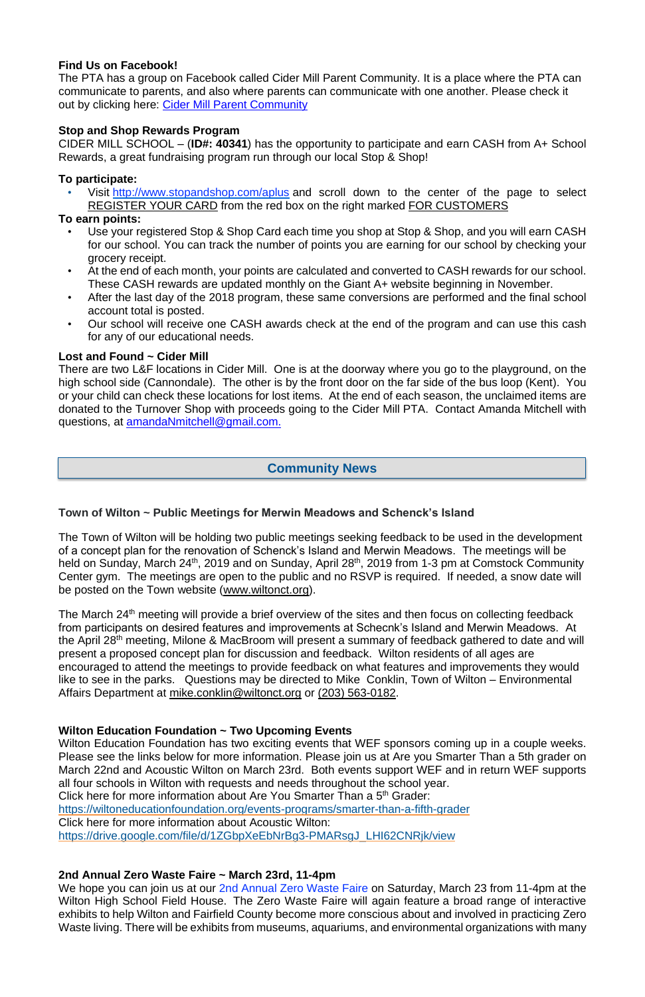# **Find Us on Facebook!**

The PTA has a group on Facebook called Cider Mill Parent Community. It is a place where the PTA can communicate to parents, and also where parents can communicate with one another. Please check it out by clicking here: Cider Mill Parent [Community](https://www.facebook.com/groups/1168962513117647/)

# **Stop and Shop Rewards Program**

CIDER MILL SCHOOL – (**ID#: 40341**) has the opportunity to participate and earn CASH from A+ School Rewards, a great fundraising program run through our local Stop & Shop!

# **To participate:**

• Visit <http://www.stopandshop.com/aplus> and scroll down to the center of the page to select REGISTER YOUR CARD from the red box on the right marked FOR CUSTOMERS

# **To earn points:**

- Use your registered Stop & Shop Card each time you shop at Stop & Shop, and you will earn CASH for our school. You can track the number of points you are earning for our school by checking your grocery receipt.
- At the end of each month, your points are calculated and converted to CASH rewards for our school. These CASH rewards are updated monthly on the Giant A+ website beginning in November.
- After the last day of the 2018 program, these same conversions are performed and the final school account total is posted.
- Our school will receive one CASH awards check at the end of the program and can use this cash for any of our educational needs.

# **Lost and Found ~ Cider Mill**

The March 24<sup>th</sup> meeting will provide a brief overview of the sites and then focus on collecting feedback from participants on desired features and improvements at Schecnk's Island and Merwin Meadows. At the April 28<sup>th</sup> meeting, Milone & MacBroom will present a summary of feedback gathered to date and will present a proposed concept plan for discussion and feedback. Wilton residents of all ages are encouraged to attend the meetings to provide feedback on what features and improvements they would like to see in the parks. Questions may be directed to Mike Conklin, Town of Wilton – Environmental Affairs Department at [mike.conklin@wiltonct.org](mailto:mike.conklin@wiltonct.org) or [\(203\) 563-0182.](tel:(203)%20563-0182)

There are two L&F locations in Cider Mill. One is at the doorway where you go to the playground, on the high school side (Cannondale). The other is by the front door on the far side of the bus loop (Kent). You or your child can check these locations for lost items. At the end of each season, the unclaimed items are donated to the Turnover Shop with proceeds going to the Cider Mill PTA. Contact Amanda Mitchell with questions, at [amandaNmitchell@gmail.com.](mailto:amandaNmitchell@gmail.com)

### **Town of Wilton ~ Public Meetings for Merwin Meadows and Schenck's Island**

We hope you can join us at our 2nd [Annual](http://wiltongogreen.org/zero-waste-faire-2019/) Zero Waste Faire on Saturday, March 23 from 11-4pm at the Wilton High School Field House. The Zero Waste Faire will again feature a broad range of interactive exhibits to help Wilton and Fairfield County become more conscious about and involved in practicing Zero Waste living. There will be exhibits from museums, aquariums, and environmental organizations with many

The Town of Wilton will be holding two public meetings seeking feedback to be used in the development of a concept plan for the renovation of Schenck's Island and Merwin Meadows. The meetings will be held on Sunday, March 24<sup>th</sup>, 2019 and on Sunday, April 28<sup>th</sup>, 2019 from 1-3 pm at Comstock Community Center gym. The meetings are open to the public and no RSVP is required. If needed, a snow date will be posted on the Town website [\(www.wiltonct.org\)](https://urldefense.proofpoint.com/v2/url?u=http-3A__www.wiltonct.org&d=DwMFaQ&c=i0QXx0LZaNWl3bsI0Hrdtw&r=T5IF5FPtOaOlzvYwnNvgtq89J2GxSdkCf2ZqvbZBKxY&m=oc1PMu_OI1PKz0qzB01kHnVkX216SM1mjRwcHICYUac&s=om5RpAty-G5v46PWXCiYvRJ7qYpFk8kGyFop5AxPNM4&e=).

#### **Wilton Education Foundation ~ Two Upcoming Events**

Wilton Education Foundation has two exciting events that WEF sponsors coming up in a couple weeks. Please see the links below for more information. Please join us at Are you Smarter Than a 5th grader on March 22nd and Acoustic Wilton on March 23rd. Both events support WEF and in return WEF supports all four schools in Wilton with requests and needs throughout the school year.

Click here for more information about Are You Smarter Than a 5<sup>th</sup> Grader:

<https://wiltoneducationfoundation.org/events-programs/smarter-than-a-fifth-grader>

Click here for more information about Acoustic Wilton:

[https://drive.google.com/file/d/1ZGbpXeEbNrBg3-PMARsgJ\\_LHI62CNRjk/view](https://urldefense.proofpoint.com/v2/url?u=https-3A__drive.google.com_file_d_1ZGbpXeEbNrBg3-2DPMARsgJ-5FLHI62CNRjk_view&d=DwMFaQ&c=i0QXx0LZaNWl3bsI0Hrdtw&r=T5IF5FPtOaOlzvYwnNvgtq89J2GxSdkCf2ZqvbZBKxY&m=BoHjWthBF9cduFwWWW1nj8f2i-dH1qaIDb5lw0ilIrI&s=c1A1CH1bLc1s-U-u49dYzTGTUxONsabgN-9Iub3hLWk&e=)

#### **2nd Annual Zero Waste Faire ~ March 23rd, 11-4pm**

# **Community News**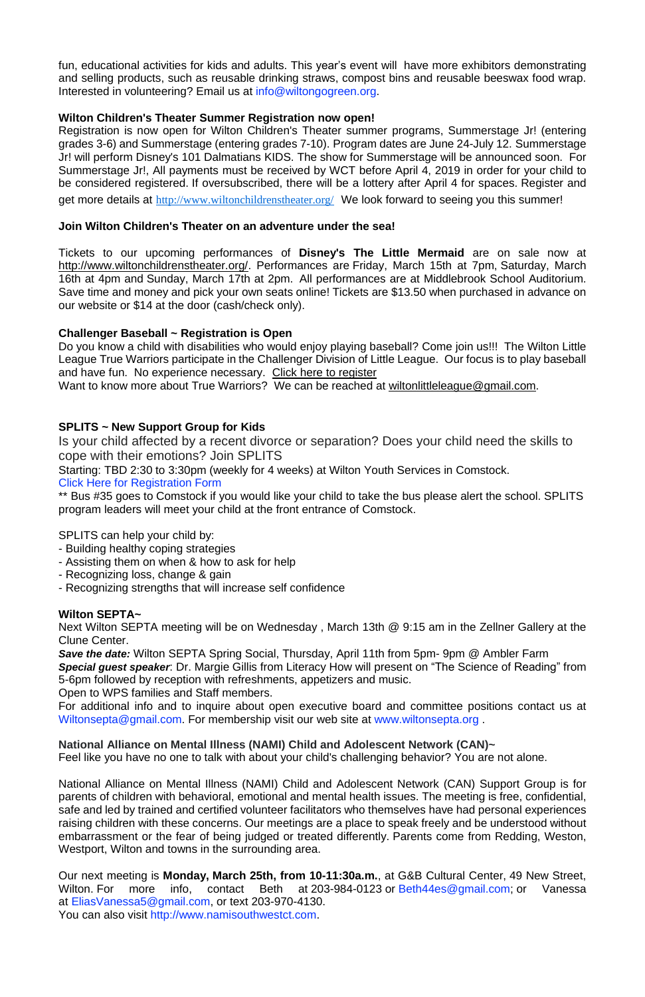fun, educational activities for kids and adults. This year's event will have more exhibitors demonstrating and selling products, such as reusable drinking straws, compost bins and reusable beeswax food wrap. Interested in volunteering? Email us at [info@wiltongogreen.org.](mailto:info@wiltongogreen.org)

Registration is now open for Wilton Children's Theater summer programs, Summerstage Jr! (entering grades 3-6) and Summerstage (entering grades 7-10). Program dates are June 24-July 12. Summerstage Jr! will perform Disney's 101 Dalmatians KIDS. The show for Summerstage will be announced soon. For Summerstage Jr!, All payments must be received by WCT before April 4, 2019 in order for your child to be considered registered. If oversubscribed, there will be a lottery after April 4 for spaces. Register and get more details at <http://www.wiltonchildrenstheater.org/> We look forward to seeing you this summer!

# **Wilton Children's Theater Summer Registration now open!**

# **Join Wilton Children's Theater on an adventure under the sea!**

Tickets to our upcoming performances of **Disney's The Little Mermaid** are on sale now at [http://www.wiltonchildrenstheater.org/.](https://urldefense.proofpoint.com/v2/url?u=http-3A__www.wiltonchildrenstheater.org_-3Ffbclid-3DIwAR2UnwycCcEA3JTQmSDRZStUYxL-2D8MSTHieJLQHc-5F2YcdolppEE2WdoqbgM&d=DwMFaQ&c=i0QXx0LZaNWl3bsI0Hrdtw&r=T5IF5FPtOaOlzvYwnNvgtq89J2GxSdkCf2ZqvbZBKxY&m=fm6nBjyAXqA3y-nuHRF2_NiqGKoI9nn_xzxef6W8qRU&s=OZ6vgwmLeqH81wKgmI0ihy1mlf2A3eh8dD9METGEPYE&e=) Performances are Friday, March 15th at 7pm, Saturday, March 16th at 4pm and Sunday, March 17th at 2pm. All performances are at Middlebrook School Auditorium. Save time and money and pick your own seats online! Tickets are \$13.50 when purchased in advance on our website or \$14 at the door (cash/check only).

# **Challenger Baseball ~ Registration is Open**

For additional info and to inquire about open executive board and committee positions contact us at [Wiltonsepta@gmail.com.](mailto:Wiltonsepta@gmail.com) For membership visit our web site at [www.wiltonsepta.org](http://www.wiltonsepta.org/).

Do you know a child with disabilities who would enjoy playing baseball? Come join us!!! The Wilton Little League True Warriors participate in the Challenger Division of Little League. Our focus is to play baseball and have fun. No experience necessary. [Click here to register](https://urldefense.proofpoint.com/v2/url?u=http-3A__assn.la_Reg_-3Fr-3D4-3A147970&d=DwMFaQ&c=i0QXx0LZaNWl3bsI0Hrdtw&r=T5IF5FPtOaOlzvYwnNvgtq89J2GxSdkCf2ZqvbZBKxY&m=HJ_k1gkjFCEpIS5qbBRj3KUJYyMqecPLRn_TUTUe7lw&s=Ny-eiRQI-wYLqATGk4Sr0yLiTZDKb8ZdkhuEjSzGhmU&e=)

Want to know more about True Warriors? We can be reached at [wiltonlittleleague@gmail.com.](mailto:wiltonlittleleague@gmail.com)

# **SPLITS ~ New Support Group for Kids**

Is your child affected by a recent divorce or separation? Does your child need the skills to cope with their emotions? Join SPLITS

Starting: TBD 2:30 to 3:30pm (weekly for 4 weeks) at Wilton Youth Services in Comstock. Click Here for [Registration](https://docs.google.com/document/d/1FTanhxEYfEw5UrN1SghS9pCtHkx6rVhViIuHaN1qYpM/edit?usp=sharing) Form

\*\* Bus #35 goes to Comstock if you would like your child to take the bus please alert the school. SPLITS program leaders will meet your child at the front entrance of Comstock.

SPLITS can help your child by:

- Building healthy coping strategies
- Assisting them on when & how to ask for help
- Recognizing loss, change & gain
- Recognizing strengths that will increase self confidence

# **Wilton SEPTA~**

Next Wilton SEPTA meeting will be on Wednesday , March 13th @ 9:15 am in the Zellner Gallery at the Clune Center.

*Save the date:* Wilton SEPTA Spring Social, Thursday, April 11th from 5pm- 9pm @ Ambler Farm *Special guest speaker*: Dr. Margie Gillis from Literacy How will present on "The Science of Reading" from 5-6pm followed by reception with refreshments, appetizers and music.

Open to WPS families and Staff members.

**National Alliance on Mental Illness (NAMI) Child and Adolescent Network (CAN)~** Feel like you have no one to talk with about your child's challenging behavior? You are not alone.

National Alliance on Mental Illness (NAMI) Child and Adolescent Network (CAN) Support Group is for parents of children with behavioral, emotional and mental health issues. The meeting is free, confidential, safe and led by trained and certified volunteer facilitators who themselves have had personal experiences raising children with these concerns. Our meetings are a place to speak freely and be understood without embarrassment or the fear of being judged or treated differently. Parents come from Redding, Weston, Westport, Wilton and towns in the surrounding area.

Our next meeting is **Monday, March 25th, from [10-11:30a](x-apple-data-detectors://2/).m.**, at G&B Cultural Center, 49 New [Street,](x-apple-data-detectors://3/) Wilton. For more info, contact Beth at 203-984-0123 or [Beth44es@gmail.com;](mailto:Beth44es@gmail.com) or Vanessa at [EliasVanessa5@gmail.com,](mailto:EliasVanessa5@gmail.com) or text 203-970-4130. You can also visit [http://www.namisouthwestct.com.](http://www.namisouthwestct.com/)